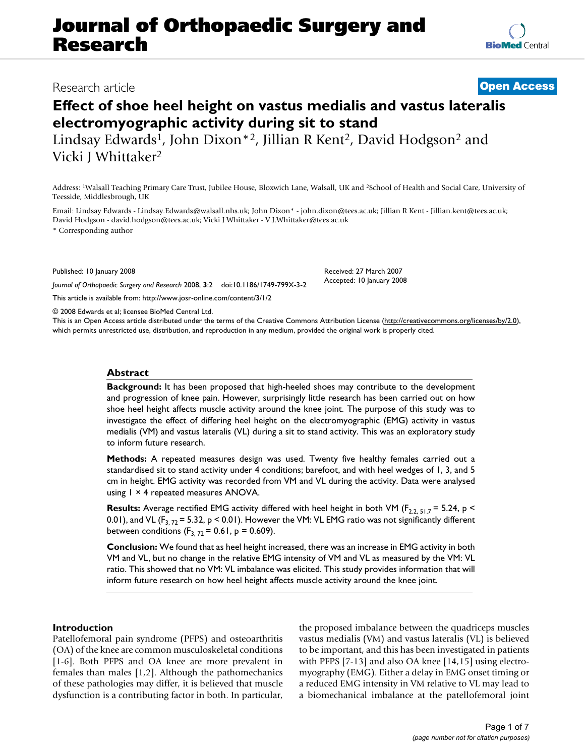# **Journal of Orthopaedic Surgery and Research**

# Research article **[Open Access](http://www.biomedcentral.com/info/about/charter/)**

# **Effect of shoe heel height on vastus medialis and vastus lateralis electromyographic activity during sit to stand**

Lindsay Edwards<sup>1</sup>, John Dixon<sup>\*2</sup>, Jillian R Kent<sup>2</sup>, David Hodgson<sup>2</sup> and Vicki J Whittaker2

Address: 1Walsall Teaching Primary Care Trust, Jubilee House, Bloxwich Lane, Walsall, UK and 2School of Health and Social Care, University of Teesside, Middlesbrough, UK

Email: Lindsay Edwards - Lindsay.Edwards@walsall.nhs.uk; John Dixon\* - john.dixon@tees.ac.uk; Jillian R Kent - Jillian.kent@tees.ac.uk; David Hodgson - david.hodgson@tees.ac.uk; Vicki J Whittaker - V.J.Whittaker@tees.ac.uk

\* Corresponding author

Published: 10 January 2008

*Journal of Orthopaedic Surgery and Research* 2008, **3**:2 doi:10.1186/1749-799X-3-2

[This article is available from: http://www.josr-online.com/content/3/1/2](http://www.josr-online.com/content/3/1/2)

© 2008 Edwards et al; licensee BioMed Central Ltd.

This is an Open Access article distributed under the terms of the Creative Commons Attribution License [\(http://creativecommons.org/licenses/by/2.0\)](http://creativecommons.org/licenses/by/2.0), which permits unrestricted use, distribution, and reproduction in any medium, provided the original work is properly cited.

### **Abstract**

**Background:** It has been proposed that high-heeled shoes may contribute to the development and progression of knee pain. However, surprisingly little research has been carried out on how shoe heel height affects muscle activity around the knee joint. The purpose of this study was to investigate the effect of differing heel height on the electromyographic (EMG) activity in vastus medialis (VM) and vastus lateralis (VL) during a sit to stand activity. This was an exploratory study to inform future research.

**Methods:** A repeated measures design was used. Twenty five healthy females carried out a standardised sit to stand activity under 4 conditions; barefoot, and with heel wedges of 1, 3, and 5 cm in height. EMG activity was recorded from VM and VL during the activity. Data were analysed using 1 × 4 repeated measures ANOVA.

**Results:** Average rectified EMG activity differed with heel height in both VM ( $F_{2.2, 51.7}$  = 5.24, p < 0.01), and VL  $(F_{3, 72} = 5.32, p < 0.01)$ . However the VM: VL EMG ratio was not significantly different between conditions  $(F_{3, 72} = 0.61, p = 0.609)$ .

**Conclusion:** We found that as heel height increased, there was an increase in EMG activity in both VM and VL, but no change in the relative EMG intensity of VM and VL as measured by the VM: VL ratio. This showed that no VM: VL imbalance was elicited. This study provides information that will inform future research on how heel height affects muscle activity around the knee joint.

### **Introduction**

Patellofemoral pain syndrome (PFPS) and osteoarthritis (OA) of the knee are common musculoskeletal conditions [1-6]. Both PFPS and OA knee are more prevalent in females than males [1,2]. Although the pathomechanics of these pathologies may differ, it is believed that muscle dysfunction is a contributing factor in both. In particular, the proposed imbalance between the quadriceps muscles vastus medialis (VM) and vastus lateralis (VL) is believed to be important, and this has been investigated in patients with PFPS [7-13] and also OA knee [14,15] using electromyography (EMG). Either a delay in EMG onset timing or a reduced EMG intensity in VM relative to VL may lead to a biomechanical imbalance at the patellofemoral joint

Received: 27 March 2007 Accepted: 10 January 2008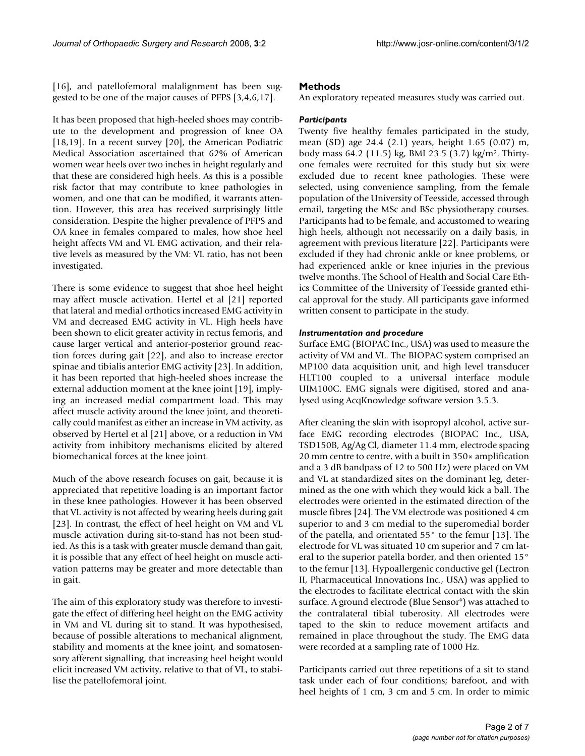[16], and patellofemoral malalignment has been suggested to be one of the major causes of PFPS [3,4,6,17].

It has been proposed that high-heeled shoes may contribute to the development and progression of knee OA [18,19]. In a recent survey [20], the American Podiatric Medical Association ascertained that 62% of American women wear heels over two inches in height regularly and that these are considered high heels. As this is a possible risk factor that may contribute to knee pathologies in women, and one that can be modified, it warrants attention. However, this area has received surprisingly little consideration. Despite the higher prevalence of PFPS and OA knee in females compared to males, how shoe heel height affects VM and VL EMG activation, and their relative levels as measured by the VM: VL ratio, has not been investigated.

There is some evidence to suggest that shoe heel height may affect muscle activation. Hertel et al [21] reported that lateral and medial orthotics increased EMG activity in VM and decreased EMG activity in VL. High heels have been shown to elicit greater activity in rectus femoris, and cause larger vertical and anterior-posterior ground reaction forces during gait [22], and also to increase erector spinae and tibialis anterior EMG activity [23]. In addition, it has been reported that high-heeled shoes increase the external adduction moment at the knee joint [19], implying an increased medial compartment load. This may affect muscle activity around the knee joint, and theoretically could manifest as either an increase in VM activity, as observed by Hertel et al [21] above, or a reduction in VM activity from inhibitory mechanisms elicited by altered biomechanical forces at the knee joint.

Much of the above research focuses on gait, because it is appreciated that repetitive loading is an important factor in these knee pathologies. However it has been observed that VL activity is not affected by wearing heels during gait [23]. In contrast, the effect of heel height on VM and VL muscle activation during sit-to-stand has not been studied. As this is a task with greater muscle demand than gait, it is possible that any effect of heel height on muscle activation patterns may be greater and more detectable than in gait.

The aim of this exploratory study was therefore to investigate the effect of differing heel height on the EMG activity in VM and VL during sit to stand. It was hypothesised, because of possible alterations to mechanical alignment, stability and moments at the knee joint, and somatosensory afferent signalling, that increasing heel height would elicit increased VM activity, relative to that of VL, to stabilise the patellofemoral joint.

# **Methods**

An exploratory repeated measures study was carried out.

# *Participants*

Twenty five healthy females participated in the study, mean (SD) age 24.4 (2.1) years, height 1.65 (0.07) m, body mass 64.2 (11.5) kg, BMI 23.5 (3.7) kg/m2. Thirtyone females were recruited for this study but six were excluded due to recent knee pathologies. These were selected, using convenience sampling, from the female population of the University of Teesside, accessed through email, targeting the MSc and BSc physiotherapy courses. Participants had to be female, and accustomed to wearing high heels, although not necessarily on a daily basis, in agreement with previous literature [22]. Participants were excluded if they had chronic ankle or knee problems, or had experienced ankle or knee injuries in the previous twelve months. The School of Health and Social Care Ethics Committee of the University of Teesside granted ethical approval for the study. All participants gave informed written consent to participate in the study.

# *Instrumentation and procedure*

Surface EMG (BIOPAC Inc., USA) was used to measure the activity of VM and VL. The BIOPAC system comprised an MP100 data acquisition unit, and high level transducer HLT100 coupled to a universal interface module UIM100C. EMG signals were digitised, stored and analysed using AcqKnowledge software version 3.5.3.

After cleaning the skin with isopropyl alcohol, active surface EMG recording electrodes (BIOPAC Inc., USA, TSD150B, Ag/Ag Cl, diameter 11.4 mm, electrode spacing 20 mm centre to centre, with a built in 350× amplification and a 3 dB bandpass of 12 to 500 Hz) were placed on VM and VL at standardized sites on the dominant leg, determined as the one with which they would kick a ball. The electrodes were oriented in the estimated direction of the muscle fibres [24]. The VM electrode was positioned 4 cm superior to and 3 cm medial to the superomedial border of the patella, and orientated 55° to the femur [13]. The electrode for VL was situated 10 cm superior and 7 cm lateral to the superior patella border, and then oriented 15° to the femur [13]. Hypoallergenic conductive gel (Lectron II, Pharmaceutical Innovations Inc., USA) was applied to the electrodes to facilitate electrical contact with the skin surface. A ground electrode (Blue Sensor®) was attached to the contralateral tibial tuberosity. All electrodes were taped to the skin to reduce movement artifacts and remained in place throughout the study. The EMG data were recorded at a sampling rate of 1000 Hz.

Participants carried out three repetitions of a sit to stand task under each of four conditions; barefoot, and with heel heights of 1 cm, 3 cm and 5 cm. In order to mimic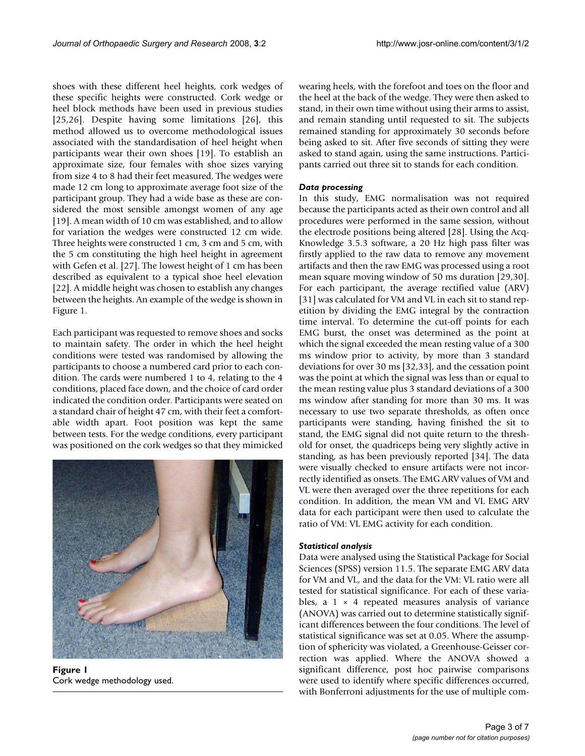shoes with these different heel heights, cork wedges of these specific heights were constructed. Cork wedge or heel block methods have been used in previous studies [25,26]. Despite having some limitations [26], this method allowed us to overcome methodological issues associated with the standardisation of heel height when participants wear their own shoes [19]. To establish an approximate size, four females with shoe sizes varying from size 4 to 8 had their feet measured. The wedges were made 12 cm long to approximate average foot size of the participant group. They had a wide base as these are considered the most sensible amongst women of any age [19]. A mean width of 10 cm was established, and to allow for variation the wedges were constructed 12 cm wide. Three heights were constructed 1 cm, 3 cm and 5 cm, with the 5 cm constituting the high heel height in agreement with Gefen et al. [27]. The lowest height of 1 cm has been described as equivalent to a typical shoe heel elevation [22]. A middle height was chosen to establish any changes between the heights. An example of the wedge is shown in Figure 1.

Each participant was requested to remove shoes and socks to maintain safety. The order in which the heel height conditions were tested was randomised by allowing the participants to choose a numbered card prior to each condition. The cards were numbered 1 to 4, relating to the 4 conditions, placed face down, and the choice of card order indicated the condition order. Participants were seated on a standard chair of height 47 cm, with their feet a comfortable width apart. Foot position was kept the same between tests. For the wedge conditions, every participant was positioned on the cork wedges so that they mimicked



**Figure 1** Cork wedge methodology used.

wearing heels, with the forefoot and toes on the floor and the heel at the back of the wedge. They were then asked to stand, in their own time without using their arms to assist, and remain standing until requested to sit. The subjects remained standing for approximately 30 seconds before being asked to sit. After five seconds of sitting they were asked to stand again, using the same instructions. Participants carried out three sit to stands for each condition.

# *Data processing*

In this study, EMG normalisation was not required because the participants acted as their own control and all procedures were performed in the same session, without the electrode positions being altered [28]. Using the Acq-Knowledge 3.5.3 software, a 20 Hz high pass filter was firstly applied to the raw data to remove any movement artifacts and then the raw EMG was processed using a root mean square moving window of 50 ms duration [29,30]. For each participant, the average rectified value (ARV) [31] was calculated for VM and VL in each sit to stand repetition by dividing the EMG integral by the contraction time interval. To determine the cut-off points for each EMG burst, the onset was determined as the point at which the signal exceeded the mean resting value of a 300 ms window prior to activity, by more than 3 standard deviations for over 30 ms [32,33], and the cessation point was the point at which the signal was less than or equal to the mean resting value plus 3 standard deviations of a 300 ms window after standing for more than 30 ms. It was necessary to use two separate thresholds, as often once participants were standing, having finished the sit to stand, the EMG signal did not quite return to the threshold for onset, the quadriceps being very slightly active in standing, as has been previously reported [34]. The data were visually checked to ensure artifacts were not incorrectly identified as onsets. The EMG ARV values of VM and VL were then averaged over the three repetitions for each condition. In addition, the mean VM and VL EMG ARV data for each participant were then used to calculate the ratio of VM: VL EMG activity for each condition.

### *Statistical analysis*

Data were analysed using the Statistical Package for Social Sciences (SPSS) version 11.5. The separate EMG ARV data for VM and VL, and the data for the VM: VL ratio were all tested for statistical significance. For each of these variables, a  $1 \times 4$  repeated measures analysis of variance (ANOVA) was carried out to determine statistically significant differences between the four conditions. The level of statistical significance was set at 0.05. Where the assumption of sphericity was violated, a Greenhouse-Geisser correction was applied. Where the ANOVA showed a significant difference, post hoc pairwise comparisons were used to identify where specific differences occurred, with Bonferroni adjustments for the use of multiple com-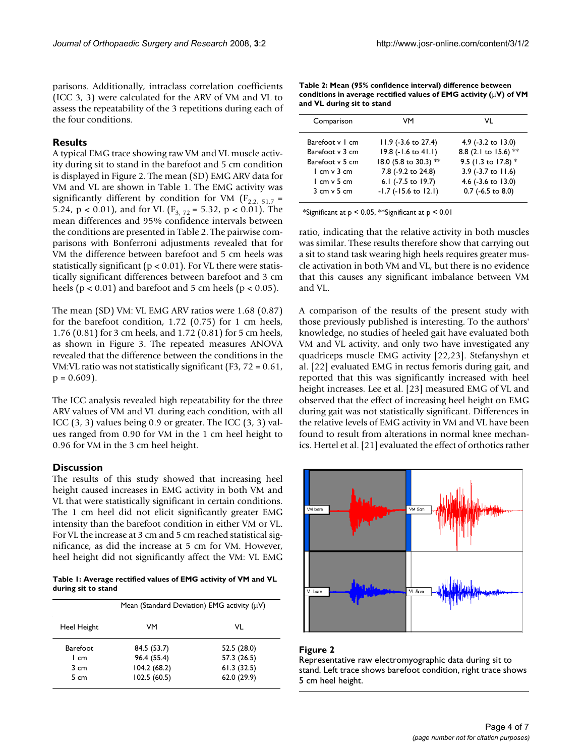parisons. Additionally, intraclass correlation coefficients (ICC 3, 3) were calculated for the ARV of VM and VL to assess the repeatability of the 3 repetitions during each of the four conditions.

### **Results**

A typical EMG trace showing raw VM and VL muscle activity during sit to stand in the barefoot and 5 cm condition is displayed in Figure 2. The mean (SD) EMG ARV data for VM and VL are shown in Table 1. The EMG activity was significantly different by condition for VM ( $F_{2,2, 51.7}$  = 5.24,  $p < 0.01$ ), and for VL ( $F_{3, 72} = 5.32$ ,  $p < 0.01$ ). The mean differences and 95% confidence intervals between the conditions are presented in Table 2. The pairwise comparisons with Bonferroni adjustments revealed that for VM the difference between barefoot and 5 cm heels was statistically significant ( $p < 0.01$ ). For VL there were statistically significant differences between barefoot and 3 cm heels ( $p < 0.01$ ) and barefoot and 5 cm heels ( $p < 0.05$ ).

The mean (SD) VM: VL EMG ARV ratios were 1.68 (0.87) for the barefoot condition, 1.72 (0.75) for 1 cm heels, 1.76 (0.81) for 3 cm heels, and 1.72 (0.81) for 5 cm heels, as shown in Figure 3. The repeated measures ANOVA revealed that the difference between the conditions in the VM:VL ratio was not statistically significant (F3, 72 = 0.61,  $p = 0.609$ ).

The ICC analysis revealed high repeatability for the three ARV values of VM and VL during each condition, with all ICC (3, 3) values being 0.9 or greater. The ICC (3, 3) values ranged from 0.90 for VM in the 1 cm heel height to 0.96 for VM in the 3 cm heel height.

### **Discussion**

The results of this study showed that increasing heel height caused increases in EMG activity in both VM and VL that were statistically significant in certain conditions. The 1 cm heel did not elicit significantly greater EMG intensity than the barefoot condition in either VM or VL. For VL the increase at 3 cm and 5 cm reached statistical significance, as did the increase at 5 cm for VM. However, heel height did not significantly affect the VM: VL EMG

**Table 1: Average rectified values of EMG activity of VM and VL during sit to stand**

| Heel Height     | Mean (Standard Deviation) EMG activity $(\mu V)$ |             |
|-----------------|--------------------------------------------------|-------------|
|                 | VM.                                              | VI          |
| <b>Barefoot</b> | 84.5 (53.7)                                      | 52.5 (28.0) |
| I cm            | 96.4 (55.4)                                      | 57.3 (26.5) |
| 3 cm            | 104.2(68.2)                                      | 61.3(32.5)  |
| 5 cm            | 102.5(60.5)                                      | 62.0 (29.9) |

**Table 2: Mean (95% confidence interval) difference between conditions in average rectified values of EMG activity (**µ**V) of VM and VL during sit to stand**

| Comparison                       | VM                           | VI                            |
|----------------------------------|------------------------------|-------------------------------|
| Barefoot v I cm                  | $11.9$ (-3.6 to 27.4)        | 4.9 (-3.2 to 13.0)            |
| Barefoot v 3 cm                  | 19.8 (-1.6 to 41.1)          | 8.8 (2.1 to 15.6) **          |
| Barefoot v 5 cm                  | 18.0 (5.8 to 30.3) **        | 9.5 (1.3 to 17.8) *           |
| $1 \text{ cm} \vee 3 \text{ cm}$ | 7.8 (-9.2 to 24.8)           | $3.9$ (-3.7 to 11.6)          |
| $1 \text{ cm} \vee 5 \text{ cm}$ | 6.1 (-7.5 to 19.7)           | 4.6 $(-3.6 \text{ to } 13.0)$ |
| $3 \text{ cm} \vee 5 \text{ cm}$ | $-1.7$ ( $-15.6$ to $12.1$ ) | $0.7$ (-6.5 to 8.0)           |

\*Significant at  $p < 0.05$ , \*\*Significant at  $p < 0.01$ 

ratio, indicating that the relative activity in both muscles was similar. These results therefore show that carrying out a sit to stand task wearing high heels requires greater muscle activation in both VM and VL, but there is no evidence that this causes any significant imbalance between VM and VL.

A comparison of the results of the present study with those previously published is interesting. To the authors' knowledge, no studies of heeled gait have evaluated both VM and VL activity, and only two have investigated any quadriceps muscle EMG activity [22,23]. Stefanyshyn et al. [22] evaluated EMG in rectus femoris during gait, and reported that this was significantly increased with heel height increases. Lee et al. [23] measured EMG of VL and observed that the effect of increasing heel height on EMG during gait was not statistically significant. Differences in the relative levels of EMG activity in VM and VL have been found to result from alterations in normal knee mechanics. Hertel et al. [21] evaluated the effect of orthotics rather



#### **Figure 2**

Representative raw electromyographic data during sit to stand. Left trace shows barefoot condition, right trace shows 5 cm heel height.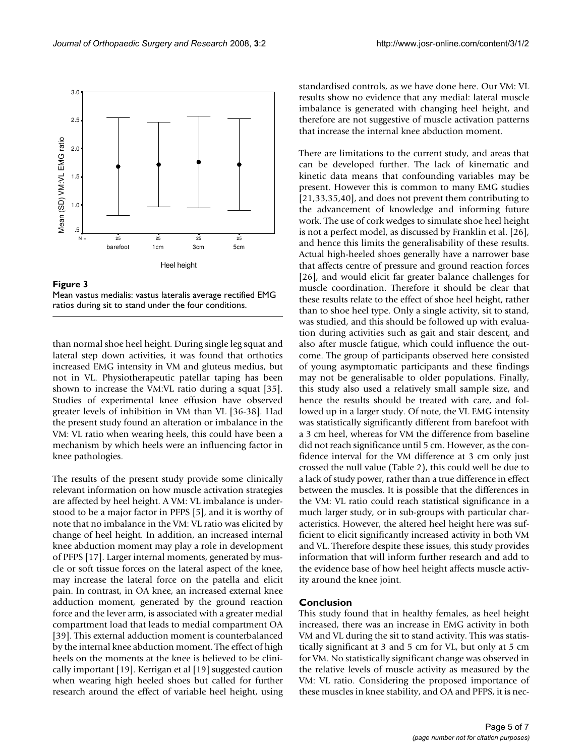

Figure 3 Mean vastus medialis: vastus lateralis average rectified EMG ratios during sit to stand under the four conditions.

than normal shoe heel height. During single leg squat and lateral step down activities, it was found that orthotics increased EMG intensity in VM and gluteus medius, but not in VL. Physiotherapeutic patellar taping has been shown to increase the VM:VL ratio during a squat [35]. Studies of experimental knee effusion have observed greater levels of inhibition in VM than VL [36-38]. Had the present study found an alteration or imbalance in the VM: VL ratio when wearing heels, this could have been a mechanism by which heels were an influencing factor in knee pathologies.

The results of the present study provide some clinically relevant information on how muscle activation strategies are affected by heel height. A VM: VL imbalance is understood to be a major factor in PFPS [5], and it is worthy of note that no imbalance in the VM: VL ratio was elicited by change of heel height. In addition, an increased internal knee abduction moment may play a role in development of PFPS [17]. Larger internal moments, generated by muscle or soft tissue forces on the lateral aspect of the knee, may increase the lateral force on the patella and elicit pain. In contrast, in OA knee, an increased external knee adduction moment, generated by the ground reaction force and the lever arm, is associated with a greater medial compartment load that leads to medial compartment OA [39]. This external adduction moment is counterbalanced by the internal knee abduction moment. The effect of high heels on the moments at the knee is believed to be clinically important [19]. Kerrigan et al [19] suggested caution when wearing high heeled shoes but called for further research around the effect of variable heel height, using

standardised controls, as we have done here. Our VM: VL results show no evidence that any medial: lateral muscle imbalance is generated with changing heel height, and therefore are not suggestive of muscle activation patterns that increase the internal knee abduction moment.

There are limitations to the current study, and areas that can be developed further. The lack of kinematic and kinetic data means that confounding variables may be present. However this is common to many EMG studies [21,33,35,40], and does not prevent them contributing to the advancement of knowledge and informing future work. The use of cork wedges to simulate shoe heel height is not a perfect model, as discussed by Franklin et al. [26], and hence this limits the generalisability of these results. Actual high-heeled shoes generally have a narrower base that affects centre of pressure and ground reaction forces [26], and would elicit far greater balance challenges for muscle coordination. Therefore it should be clear that these results relate to the effect of shoe heel height, rather than to shoe heel type. Only a single activity, sit to stand, was studied, and this should be followed up with evaluation during activities such as gait and stair descent, and also after muscle fatigue, which could influence the outcome. The group of participants observed here consisted of young asymptomatic participants and these findings may not be generalisable to older populations. Finally, this study also used a relatively small sample size, and hence the results should be treated with care, and followed up in a larger study. Of note, the VL EMG intensity was statistically significantly different from barefoot with a 3 cm heel, whereas for VM the difference from baseline did not reach significance until 5 cm. However, as the confidence interval for the VM difference at 3 cm only just crossed the null value (Table 2), this could well be due to a lack of study power, rather than a true difference in effect between the muscles. It is possible that the differences in the VM: VL ratio could reach statistical significance in a much larger study, or in sub-groups with particular characteristics. However, the altered heel height here was sufficient to elicit significantly increased activity in both VM and VL. Therefore despite these issues, this study provides information that will inform further research and add to the evidence base of how heel height affects muscle activity around the knee joint.

#### **Conclusion**

This study found that in healthy females, as heel height increased, there was an increase in EMG activity in both VM and VL during the sit to stand activity. This was statistically significant at 3 and 5 cm for VL, but only at 5 cm for VM. No statistically significant change was observed in the relative levels of muscle activity as measured by the VM: VL ratio. Considering the proposed importance of these muscles in knee stability, and OA and PFPS, it is nec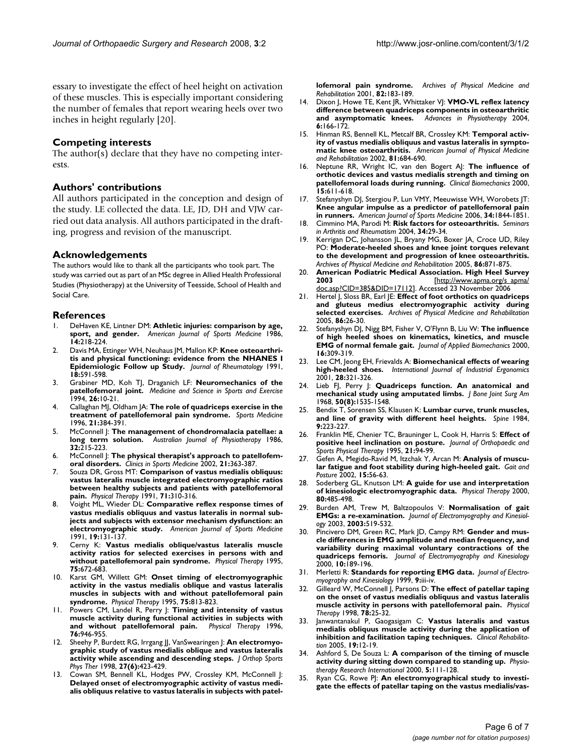essary to investigate the effect of heel height on activation of these muscles. This is especially important considering the number of females that report wearing heels over two inches in height regularly [20].

#### **Competing interests**

The author(s) declare that they have no competing interests.

#### **Authors' contributions**

All authors participated in the conception and design of the study. LE collected the data. LE, JD, DH and VJW carried out data analysis. All authors participated in the drafting, progress and revision of the manuscript.

#### **Acknowledgements**

The authors would like to thank all the participants who took part. The study was carried out as part of an MSc degree in Allied Health Professional Studies (Physiotherapy) at the University of Teesside, School of Health and Social Care.

#### **References**

- 1. DeHaven KE, Lintner DM: **[Athletic injuries: comparison by age,](http://www.ncbi.nlm.nih.gov/entrez/query.fcgi?cmd=Retrieve&db=PubMed&dopt=Abstract&list_uids=3752362) [sport, and gender.](http://www.ncbi.nlm.nih.gov/entrez/query.fcgi?cmd=Retrieve&db=PubMed&dopt=Abstract&list_uids=3752362)** *American Journal of Sports Medicine* 1986, **14:**218-224.
- 2. Davis MA, Ettinger WH, Neuhaus JM, Mallon KP: **[Knee osteoarthri](http://www.ncbi.nlm.nih.gov/entrez/query.fcgi?cmd=Retrieve&db=PubMed&dopt=Abstract&list_uids=2066950)[tis and physical functioning: evidence from the NHANES I](http://www.ncbi.nlm.nih.gov/entrez/query.fcgi?cmd=Retrieve&db=PubMed&dopt=Abstract&list_uids=2066950) [Epidemiologic Follow up Study.](http://www.ncbi.nlm.nih.gov/entrez/query.fcgi?cmd=Retrieve&db=PubMed&dopt=Abstract&list_uids=2066950)** *Journal of Rheumatology* 1991, **18:**591-598.
- 3. Grabiner MD, Koh TJ, Draganich LF: **Neuromechanics of the patellofemoral joint.** *Medicine and Science in Sports and Exercise* 1994, **26:**10-21.
- 4. Callaghan MJ, Oldham JA: **[The role of quadriceps exercise in the](http://www.ncbi.nlm.nih.gov/entrez/query.fcgi?cmd=Retrieve&db=PubMed&dopt=Abstract&list_uids=8724204) [treatment of patellofemoral pain syndrome.](http://www.ncbi.nlm.nih.gov/entrez/query.fcgi?cmd=Retrieve&db=PubMed&dopt=Abstract&list_uids=8724204)** *Sports Medicine* 1996, **21:**384-391.
- 5. McConnell J: **The management of chondromalacia patellae: a long term solution.** *Australian Journal of Physiotherapy* 1986, **32:**215-223.
- 6. McConnell J: **[The physical therapist's approach to patellofem](http://www.ncbi.nlm.nih.gov/entrez/query.fcgi?cmd=Retrieve&db=PubMed&dopt=Abstract&list_uids=12365233)[oral disorders.](http://www.ncbi.nlm.nih.gov/entrez/query.fcgi?cmd=Retrieve&db=PubMed&dopt=Abstract&list_uids=12365233)** *Clinics in Sports Medicine* 2002, **21:**363-387.
- 7. Souza DR, Gross MT: **[Comparison of vastus medialis obliquus:](http://www.ncbi.nlm.nih.gov/entrez/query.fcgi?cmd=Retrieve&db=PubMed&dopt=Abstract&list_uids=2008454) vastus lateralis muscle integrated electromyographic ratios [between healthy subjects and patients with patellofemoral](http://www.ncbi.nlm.nih.gov/entrez/query.fcgi?cmd=Retrieve&db=PubMed&dopt=Abstract&list_uids=2008454) [pain.](http://www.ncbi.nlm.nih.gov/entrez/query.fcgi?cmd=Retrieve&db=PubMed&dopt=Abstract&list_uids=2008454)** *Physical Therapy* 1991, **71:**310-316.
- 8. Voight ML, Wieder DL: **[Comparative reflex response times of](http://www.ncbi.nlm.nih.gov/entrez/query.fcgi?cmd=Retrieve&db=PubMed&dopt=Abstract&list_uids=2039064) vastus medialis obliquus and vastus lateralis in normal sub[jects and subjects with extensor mechanism dysfunction: an](http://www.ncbi.nlm.nih.gov/entrez/query.fcgi?cmd=Retrieve&db=PubMed&dopt=Abstract&list_uids=2039064) [electromyographic study.](http://www.ncbi.nlm.nih.gov/entrez/query.fcgi?cmd=Retrieve&db=PubMed&dopt=Abstract&list_uids=2039064)** *American Journal of Sports Medicine* 1991, **19:**131-137.
- 9. Cerny K: **[Vastus medialis oblique/vastus lateralis muscle](http://www.ncbi.nlm.nih.gov/entrez/query.fcgi?cmd=Retrieve&db=PubMed&dopt=Abstract&list_uids=7644571) [activity ratios for selected exercises in persons with and](http://www.ncbi.nlm.nih.gov/entrez/query.fcgi?cmd=Retrieve&db=PubMed&dopt=Abstract&list_uids=7644571) [without patellofemoral pain syndrome.](http://www.ncbi.nlm.nih.gov/entrez/query.fcgi?cmd=Retrieve&db=PubMed&dopt=Abstract&list_uids=7644571)** *Physical Therapy* 1995, **75:**672-683.
- 10. Karst GM, Willett GM: **[Onset timing of electromyographic](http://www.ncbi.nlm.nih.gov/entrez/query.fcgi?cmd=Retrieve&db=PubMed&dopt=Abstract&list_uids=7659741) activity in the vastus medialis oblique and vastus lateralis [muscles in subjects with and without patellofemoral pain](http://www.ncbi.nlm.nih.gov/entrez/query.fcgi?cmd=Retrieve&db=PubMed&dopt=Abstract&list_uids=7659741) [syndrome.](http://www.ncbi.nlm.nih.gov/entrez/query.fcgi?cmd=Retrieve&db=PubMed&dopt=Abstract&list_uids=7659741)** *Physical Therapy* 1995, **75:**813-823.
- 11. Powers CM, Landel R, Perry J: **[Timing and intensity of vastus](http://www.ncbi.nlm.nih.gov/entrez/query.fcgi?cmd=Retrieve&db=PubMed&dopt=Abstract&list_uids=8790273) [muscle activity during functional activities in subjects with](http://www.ncbi.nlm.nih.gov/entrez/query.fcgi?cmd=Retrieve&db=PubMed&dopt=Abstract&list_uids=8790273) [and without patellofemoral pain.](http://www.ncbi.nlm.nih.gov/entrez/query.fcgi?cmd=Retrieve&db=PubMed&dopt=Abstract&list_uids=8790273)** *Physical Therapy* 1996, **76:**946-955.
- 12. Sheehy P, Burdett RG, Irrgang JJ, VanSwearingen J: **[An electromyo](http://www.ncbi.nlm.nih.gov/entrez/query.fcgi?cmd=Retrieve&db=PubMed&dopt=Abstract&list_uids=9617728)[graphic study of vastus medialis oblique and vastus lateralis](http://www.ncbi.nlm.nih.gov/entrez/query.fcgi?cmd=Retrieve&db=PubMed&dopt=Abstract&list_uids=9617728) [activity while ascending and descending steps.](http://www.ncbi.nlm.nih.gov/entrez/query.fcgi?cmd=Retrieve&db=PubMed&dopt=Abstract&list_uids=9617728)** *J Orthop Sports Phys Ther* 1998, **27(6):**423-429.
- Cowan SM, Bennell KL, Hodges PW, Crossley KM, McConnell J: **Delayed onset of electromyographic activity of vastus medialis obliquus relative to vastus lateralis in subjects with patel-**

**lofemoral pain syndrome.** *Archives of Physical Medicine and Rehabilitation* 2001, **82:**183-189.

- 14. Dixon J, Howe TE, Kent JR, Whittaker VJ: **VMO-VL reflex latency difference between quadriceps components in osteoarthritic and asymptomatic knees.** *Advances in Physiotherapy* 2004, **6:**166-172.
- 15. Hinman RS, Bennell KL, Metcalf BR, Crossley KM: **Temporal activity of vastus medialis obliquus and vastus lateralis in symptomatic knee osteoarthritis.** *American Journal of Physical Medicine and Rehabilitation* 2002, **81:**684-690.
- 16. Neptune RR, Wright IC, van den Bogert AJ: **[The influence of](http://www.ncbi.nlm.nih.gov/entrez/query.fcgi?cmd=Retrieve&db=PubMed&dopt=Abstract&list_uids=10936434) [orthotic devices and vastus medialis strength and timing on](http://www.ncbi.nlm.nih.gov/entrez/query.fcgi?cmd=Retrieve&db=PubMed&dopt=Abstract&list_uids=10936434) [patellofemoral loads during running.](http://www.ncbi.nlm.nih.gov/entrez/query.fcgi?cmd=Retrieve&db=PubMed&dopt=Abstract&list_uids=10936434)** *Clinical Biomechanics* 2000, **15:**611-618.
- 17. Stefanyshyn DJ, Stergiou P, Lun VMY, Meeuwisse WH, Worobets JT: **[Knee angular impulse as a predictor of patellofemoral pain](http://www.ncbi.nlm.nih.gov/entrez/query.fcgi?cmd=Retrieve&db=PubMed&dopt=Abstract&list_uids=16735584) [in runners.](http://www.ncbi.nlm.nih.gov/entrez/query.fcgi?cmd=Retrieve&db=PubMed&dopt=Abstract&list_uids=16735584)** *American Journal of Sports Medicine* 2006, **34:**1844-1851.
- 18. Cimmino MA, Parodi M: **Risk factors for osteoarthritis.** *Seminars in Arthritis and Rheumatism* 2004, **34:**29-34.
- 19. Kerrigan DC, Johansson JL, Bryany MG, Boxer JA, Croce UD, Riley PO: **Moderate-heeled shoes and knee joint torques relevant to the development and progression of knee osteoarthritis.** *Archives of Physical Medicine and Rehabilitation* 2005, **86:**871-875.
- 20. **American Podiatric Medical Association. High Heel Survey 2003** [\[http://www.apma.org/s\\_apma/](http://www.apma.org/s_apma/doc.asp?CID=385&DID=17112) [doc.asp?CID=385&DID=17112\]](http://www.apma.org/s_apma/doc.asp?CID=385&DID=17112). Accessed 23 November 2006
- 21. Hertel J, Sloss BR, Earl JE: **Effect of foot orthotics on quadriceps and gluteus medius electromyographic activity during selected exercises.** *Archives of Physical Medicine and Rehabilitation* 2005, **86:**26-30.
- 22. Stefanyshyn DJ, Nigg BM, Fisher V, O'Flynn B, Liu W: **The influence of high heeled shoes on kinematics, kinetics, and muscle EMG of normal female gait.** *Journal of Applied Biomechanics* 2000, **16:**309-319.
- 23. Lee CM, Jeong EH, Frievalds A: **Biomechanical effects of wearing high-heeled shoes.** *International Journal of Industrial Ergonomics* 2001, **28:**321-326.
- 24. Lieb FJ, Perry J: **[Quadriceps function. An anatomical and](http://www.ncbi.nlm.nih.gov/entrez/query.fcgi?cmd=Retrieve&db=PubMed&dopt=Abstract&list_uids=5722849) [mechanical study using amputated limbs.](http://www.ncbi.nlm.nih.gov/entrez/query.fcgi?cmd=Retrieve&db=PubMed&dopt=Abstract&list_uids=5722849)** *J Bone Joint Surg Am* 1968, **50(8):**1535-1548.
- 25. Bendix T, Sorensen SS, Klausen K: **[Lumbar curve, trunk muscles,](http://www.ncbi.nlm.nih.gov/entrez/query.fcgi?cmd=Retrieve&db=PubMed&dopt=Abstract&list_uids=6729584) [and line of gravity with different heel heights.](http://www.ncbi.nlm.nih.gov/entrez/query.fcgi?cmd=Retrieve&db=PubMed&dopt=Abstract&list_uids=6729584)** *Spine* 1984, **9:**223-227.
- 26. Franklin ME, Chenier TC, Brauninger L, Cook H, Harris S: **Effect of positive heel inclination on posture.** *Journal of Orthopaedic and Sports Physical Therapy* 1995, **21:**94-99.
- 27. Gefen A, Megido-Ravid M, Itzchak Y, Arcan M: **Analysis of muscular fatigue and foot stability during high-heeled gait.** *Gait and Posture* 2002, **15:**56-63.
- 28. Soderberg GL, Knutson LM: **[A guide for use and interpretation](http://www.ncbi.nlm.nih.gov/entrez/query.fcgi?cmd=Retrieve&db=PubMed&dopt=Abstract&list_uids=10792859) [of kinesiologic electromyographic data.](http://www.ncbi.nlm.nih.gov/entrez/query.fcgi?cmd=Retrieve&db=PubMed&dopt=Abstract&list_uids=10792859)** *Physical Therapy* 2000, **80:**485-498.
- 29. Burden AM, Trew M, Baltzopoulos V: **Normalisation of gait EMGs: a re-examination.** *Journal of Electromyography and Kinesiology* 2003, **2003:**519-532.
- 30. Pincivero DM, Green RC, Mark JD, Campy RM: **Gender and muscle differences in EMG amplitude and median frequency, and variability during maximal voluntary contractions of the quadriceps femoris.** *Journal of Electromyography and Kinesiology* 2000, **10:**189-196.
- 31. Merletti R: **Standards for reporting EMG data.** *Journal of Electromyography and Kinesiology* 1999, **9:**iii-iv.
- 32. Gilleard W, McConnell J, Parsons D: **[The effect of patellar taping](http://www.ncbi.nlm.nih.gov/entrez/query.fcgi?cmd=Retrieve&db=PubMed&dopt=Abstract&list_uids=9442193) [on the onset of vastus medialis obliquus and vastus lateralis](http://www.ncbi.nlm.nih.gov/entrez/query.fcgi?cmd=Retrieve&db=PubMed&dopt=Abstract&list_uids=9442193) [muscle activity in persons with patellofemoral pain.](http://www.ncbi.nlm.nih.gov/entrez/query.fcgi?cmd=Retrieve&db=PubMed&dopt=Abstract&list_uids=9442193)** *Physical Therapy* 1998, **78:**25-32.
- 33. Janwantanakul P, Gaogasigam C: **[Vastus lateralis and vastus](http://www.ncbi.nlm.nih.gov/entrez/query.fcgi?cmd=Retrieve&db=PubMed&dopt=Abstract&list_uids=15704504) [medialis obliquus muscle activity during the application of](http://www.ncbi.nlm.nih.gov/entrez/query.fcgi?cmd=Retrieve&db=PubMed&dopt=Abstract&list_uids=15704504) [inhibition and facilitation taping techniques.](http://www.ncbi.nlm.nih.gov/entrez/query.fcgi?cmd=Retrieve&db=PubMed&dopt=Abstract&list_uids=15704504)** *Clinical Rehabilitation* 2005, **19:**12-19.
- 34. Ashford S, De Souza L: **[A comparison of the timing of muscle](http://www.ncbi.nlm.nih.gov/entrez/query.fcgi?cmd=Retrieve&db=PubMed&dopt=Abstract&list_uids=10863717) [activity during sitting down compared to standing up.](http://www.ncbi.nlm.nih.gov/entrez/query.fcgi?cmd=Retrieve&db=PubMed&dopt=Abstract&list_uids=10863717)** *Physiotherapy Research International* 2000, **5:**111-128.
- 35. Ryan CG, Rowe PJ: **An electromyographical study to investigate the effects of patellar taping on the vastus medialis/vas-**